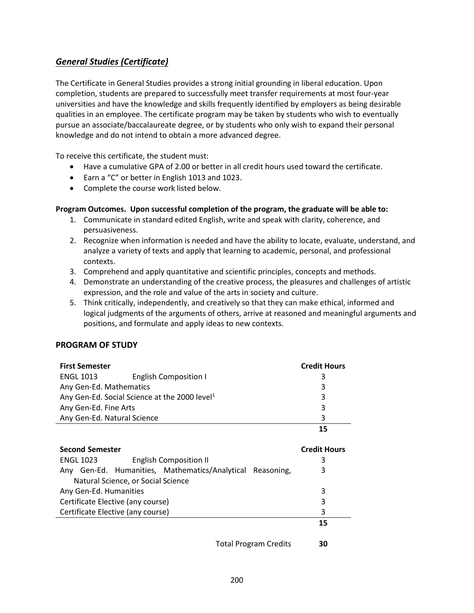## *General Studies (Certificate)*

The Certificate in General Studies provides a strong initial grounding in liberal education. Upon completion, students are prepared to successfully meet transfer requirements at most four-year universities and have the knowledge and skills frequently identified by employers as being desirable qualities in an employee. The certificate program may be taken by students who wish to eventually pursue an associate/baccalaureate degree, or by students who only wish to expand their personal knowledge and do not intend to obtain a more advanced degree.

To receive this certificate, the student must:

- Have a cumulative GPA of 2.00 or better in all credit hours used toward the certificate.
- Earn a "C" or better in English 1013 and 1023.
- Complete the course work listed below.

## **Program Outcomes. Upon successful completion of the program, the graduate will be able to:**

- 1. Communicate in standard edited English, write and speak with clarity, coherence, and persuasiveness.
- 2. Recognize when information is needed and have the ability to locate, evaluate, understand, and analyze a variety of texts and apply that learning to academic, personal, and professional contexts.
- 3. Comprehend and apply quantitative and scientific principles, concepts and methods.
- 4. Demonstrate an understanding of the creative process, the pleasures and challenges of artistic expression, and the role and value of the arts in society and culture.
- 5. Think critically, independently, and creatively so that they can make ethical, informed and logical judgments of the arguments of others, arrive at reasoned and meaningful arguments and positions, and formulate and apply ideas to new contexts.

## **PROGRAM OF STUDY**

| <b>First Semester</b>                                     | <b>Credit Hours</b>          |   |
|-----------------------------------------------------------|------------------------------|---|
| <b>ENGL 1013</b>                                          | <b>English Composition I</b> | 3 |
| Any Gen-Ed. Mathematics                                   | 3                            |   |
| Any Gen-Ed. Social Science at the 2000 level <sup>1</sup> | 3                            |   |
| Any Gen-Ed. Fine Arts                                     | 3                            |   |
| Any Gen-Ed. Natural Science                               | 3                            |   |
|                                                           |                              |   |

| <b>ENGL 1023</b>                   |   | <b>English Composition II</b>                             |  |    |
|------------------------------------|---|-----------------------------------------------------------|--|----|
|                                    |   | Any Gen-Ed. Humanities, Mathematics/Analytical Reasoning, |  | 3  |
| Natural Science, or Social Science |   |                                                           |  |    |
| Any Gen-Ed. Humanities             | 3 |                                                           |  |    |
| Certificate Elective (any course)  | 3 |                                                           |  |    |
| Certificate Elective (any course)  |   |                                                           |  | 3  |
|                                    |   |                                                           |  | 15 |

Total Program Credits **30**

**Credit Hours**